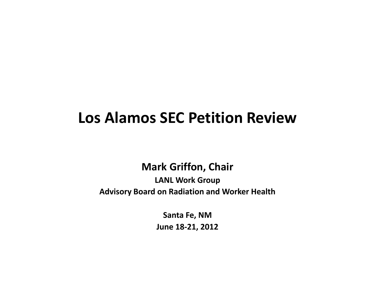# **Los Alamos SEC Petition Review**

### **Mark Griffon, Chair**

### **LANL Work Group Advisory Board on Radiation and Worker Health**

**Santa Fe, NM June 18-21, 2012**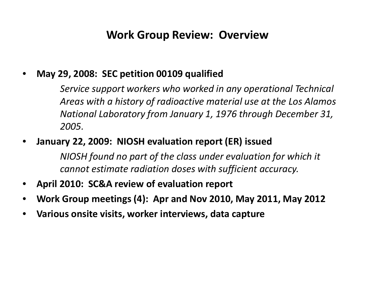### **Work Group Review: Overview**

### • **May 29, 2008: SEC petition 00109 qualified**

*Service support workers who worked in any operational Technical Areas with a history of radioactive material use at the Los Alamos National Laboratory from January 1, 1976 through December 31, 2005.*

### • **January 22, 2009: NIOSH evaluation report (ER) issued**

*NIOSH found no part of the class under evaluation for which it cannot estimate radiation doses with sufficient accuracy.*

- **April 2010: SC&A review of evaluation report**
- **Work Group meetings (4): Apr and Nov 2010, May 2011, May 2012**
- **Various onsite visits, worker interviews, data capture**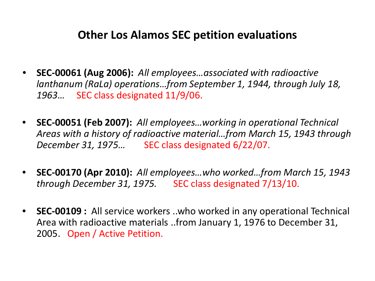### **Other Los Alamos SEC petition evaluations**

- **SEC-00061 (Aug 2006):** *All employees…associated with radioactive lanthanum (RaLa) operations…from September 1, 1944, through July 18, 1963…* SEC class designated 11/9/06.
- **SEC-00051 (Feb 2007):** *All employees…working in operational Technical Areas with a history of radioactive material…from March 15, 1943 through December 31, 1975...* SEC class designated 6/22/07.
- **SEC-00170 (Apr 2010):** *All employees…who worked…from March 15, 1943 through December 31, 1975.* SEC class designated 7/13/10.
- **SEC-00109 :** All service workers ..who worked in any operational Technical Area with radioactive materials ..from January 1, 1976 to December 31, 2005. Open / Active Petition.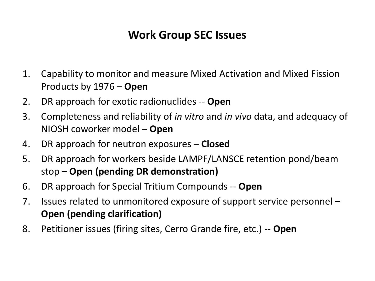# **Work Group SEC Issues**

- 1. Capability to monitor and measure Mixed Activation and Mixed Fission Products by 1976 – **Open**
- 2. DR approach for exotic radionuclides -- **Open**
- 3. Completeness and reliability of *in vitro* and *in vivo* data, and adequacy of NIOSH coworker model – **Open**
- 4. DR approach for neutron exposures **Closed**
- 5. DR approach for workers beside LAMPF/LANSCE retention pond/beam stop – **Open (pending DR demonstration)**
- 6. DR approach for Special Tritium Compounds -- **Open**
- 7. Issues related to unmonitored exposure of support service personnel **Open (pending clarification)**
- 8. Petitioner issues (firing sites, Cerro Grande fire, etc.) -- **Open**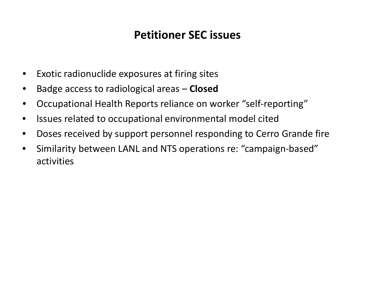# **Petitioner SEC issues**

- Exotic radionuclide exposures at firing sites
- Badge access to radiological areas **Closed**
- Occupational Health Reports reliance on worker "self-reporting"
- Issues related to occupational environmental model cited
- Doses received by support personnel responding to Cerro Grande fire
- Similarity between LANL and NTS operations re: "campaign-based" activities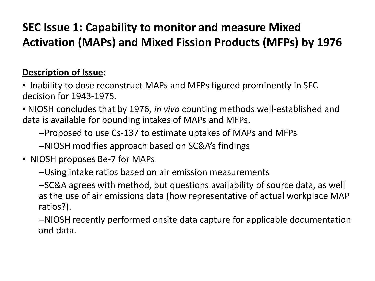# **SEC Issue 1: Capability to monitor and measure Mixed Activation (MAPs) and Mixed Fission Products (MFPs) by 1976**

### **Description of Issue:**

- Inability to dose reconstruct MAPs and MFPs figured prominently in SEC decision for 1943-1975.
- NIOSH concludes that by 1976, *in vivo* counting methods well-established and data is available for bounding intakes of MAPs and MFPs.
	- –Proposed to use Cs-137 to estimate uptakes of MAPs and MFPs
	- –NIOSH modifies approach based on SC&A's findings
- •NIOSH proposes Be-7 for MAPs
	- –Using intake ratios based on air emission measurements
	- –SC&A agrees with method, but questions availability of source data, as well as the use of air emissions data (how representative of actual workplace MAP ratios?).
	- –NIOSH recently performed onsite data capture for applicable documentation and data.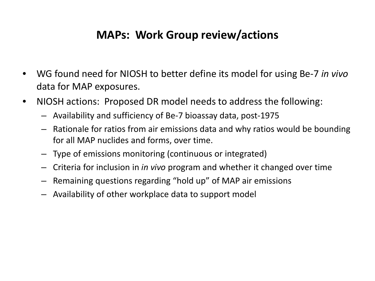# **MAPs: Work Group review/actions**

- WG found need for NIOSH to better define its model for using Be-7 *in vivo*  data for MAP exposures.
- NIOSH actions: Proposed DR model needs to address the following:
	- Availability and sufficiency of Be-7 bioassay data, post-1975
	- Rationale for ratios from air emissions data and why ratios would be bounding for all MAP nuclides and forms, over time.
	- Type of emissions monitoring (continuous or integrated)
	- Criteria for inclusion in *in vivo* program and whether it changed over time
	- Remaining questions regarding "hold up" of MAP air emissions
	- Availability of other workplace data to support model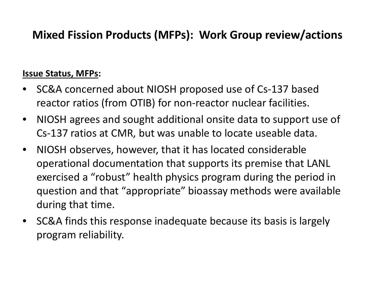# **Mixed Fission Products (MFPs): Work Group review/actions**

#### **Issue Status, MFPs:**

- SC&A concerned about NIOSH proposed use of Cs-137 based reactor ratios (from OTIB) for non-reactor nuclear facilities.
- NIOSH agrees and sought additional onsite data to support use of Cs-137 ratios at CMR, but was unable to locate useable data.
- NIOSH observes, however, that it has located considerable operational documentation that supports its premise that LANL exercised a "robust" health physics program during the period in question and that "appropriate" bioassay methods were available during that time.
- SC&A finds this response inadequate because its basis is largely program reliability.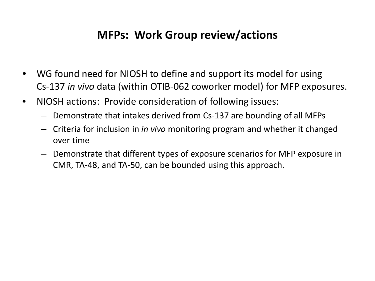## **MFPs: Work Group review/actions**

- WG found need for NIOSH to define and support its model for using Cs-137 *in vivo* data (within OTIB-062 coworker model) for MFP exposures.
- NIOSH actions: Provide consideration of following issues:
	- Demonstrate that intakes derived from Cs-137 are bounding of all MFPs
	- Criteria for inclusion in *in vivo* monitoring program and whether it changed over time
	- Demonstrate that different types of exposure scenarios for MFP exposure in CMR, TA-48, and TA-50, can be bounded using this approach.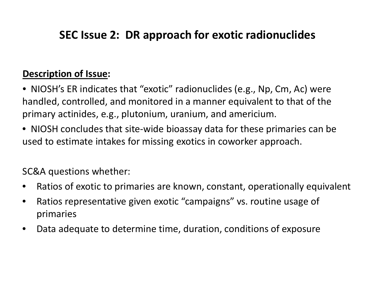# **SEC Issue 2: DR approach for exotic radionuclides**

### **Description of Issue:**

• NIOSH's ER indicates that "exotic" radionuclides (e.g., Np, Cm, Ac) were handled, controlled, and monitored in a manner equivalent to that of the primary actinides, e.g., plutonium, uranium, and americium.

• NIOSH concludes that site-wide bioassay data for these primaries can be used to estimate intakes for missing exotics in coworker approach.

SC&A questions whether:

- Ratios of exotic to primaries are known, constant, operationally equivalent
- Ratios representative given exotic "campaigns" vs. routine usage of primaries
- Data adequate to determine time, duration, conditions of exposure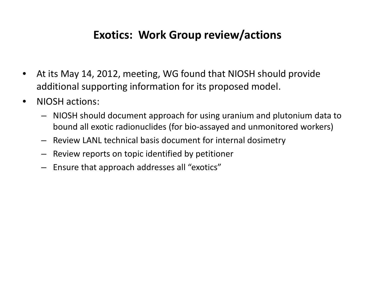# **Exotics: Work Group review/actions**

- At its May 14, 2012, meeting, WG found that NIOSH should provide additional supporting information for its proposed model.
- NIOSH actions:
	- NIOSH should document approach for using uranium and plutonium data to bound all exotic radionuclides (for bio-assayed and unmonitored workers)
	- Review LANL technical basis document for internal dosimetry
	- Review reports on topic identified by petitioner
	- Ensure that approach addresses all "exotics"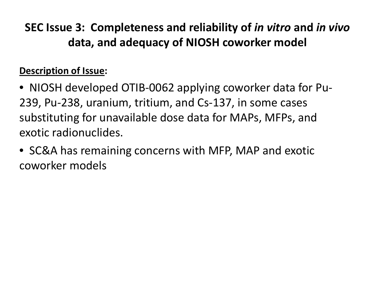**SEC Issue 3: Completeness and reliability of** *in vitro* **and** *in vivo*  **data, and adequacy of NIOSH coworker model**

### **Description of Issue:**

- NIOSH developed OTIB-0062 applying coworker data for Pu-239, Pu-238, uranium, tritium, and Cs-137, in some cases substituting for unavailable dose data for MAPs, MFPs, and exotic radionuclides.
- SC&A has remaining concerns with MFP, MAP and exotic coworker models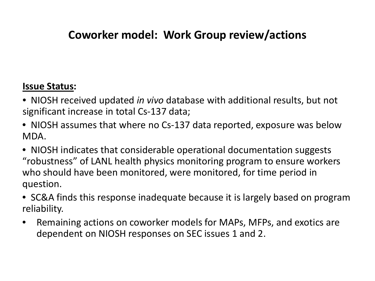# **Coworker model: Work Group review/actions**

### **Issue Status:**

- NIOSH received updated *in vivo* database with additional results, but not significant increase in total Cs-137 data;
- NIOSH assumes that where no Cs-137 data reported, exposure was below MDA.
- NIOSH indicates that considerable operational documentation suggests "robustness" of LANL health physics monitoring program to ensure workers who should have been monitored, were monitored, for time period in question.
- SC&A finds this response inadequate because it is largely based on program reliability.
- Remaining actions on coworker models for MAPs, MFPs, and exotics are dependent on NIOSH responses on SEC issues 1 and 2.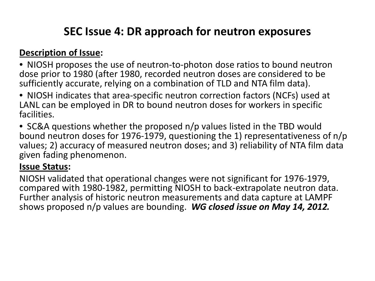# **SEC Issue 4: DR approach for neutron exposures**

### **Description of Issue:**

- NIOSH proposes the use of neutron-to-photon dose ratios to bound neutron dose prior to 1980 (after 1980, recorded neutron doses are considered to be sufficiently accurate, relying on a combination of TLD and NTA film data).
- NIOSH indicates that area-specific neutron correction factors (NCFs) used at LANL can be employed in DR to bound neutron doses for workers in specific facilities.
- SC&A questions whether the proposed n/p values listed in the TBD would bound neutron doses for 1976-1979, questioning the 1) representativeness of n/p values; 2) accuracy of measured neutron doses; and 3) reliability of NTA film data given fading phenomenon.

### **Issue Status:**

NIOSH validated that operational changes were not significant for 1976-1979, compared with 1980-1982, permitting NIOSH to back-extrapolate neutron data. Further analysis of historic neutron measurements and data capture at LAMPF shows proposed n/p values are bounding. *WG closed issue on May 14, 2012.*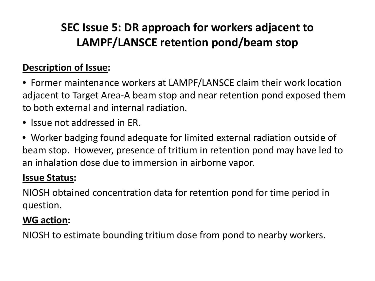# **SEC Issue 5: DR approach for workers adjacent to LAMPF/LANSCE retention pond/beam stop**

### **Description of Issue:**

• Former maintenance workers at LAMPF/LANSCE claim their work location adjacent to Target Area-A beam stop and near retention pond exposed them to both external and internal radiation.

- Issue not addressed in ER.
- Worker badging found adequate for limited external radiation outside of beam stop. However, presence of tritium in retention pond may have led to an inhalation dose due to immersion in airborne vapor.

### **Issue Status:**

NIOSH obtained concentration data for retention pond for time period in question.

### **WG action:**

NIOSH to estimate bounding tritium dose from pond to nearby workers.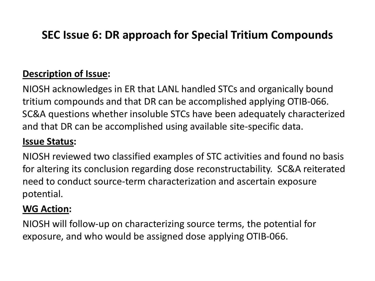# **SEC Issue 6: DR approach for Special Tritium Compounds**

### **Description of Issue:**

NIOSH acknowledges in ER that LANL handled STCs and organically bound tritium compounds and that DR can be accomplished applying OTIB-066. SC&A questions whether insoluble STCs have been adequately characterized and that DR can be accomplished using available site-specific data.

### **Issue Status:**

NIOSH reviewed two classified examples of STC activities and found no basis for altering its conclusion regarding dose reconstructability. SC&A reiterated need to conduct source-term characterization and ascertain exposure potential.

### **WG Action:**

NIOSH will follow-up on characterizing source terms, the potential for exposure, and who would be assigned dose applying OTIB-066.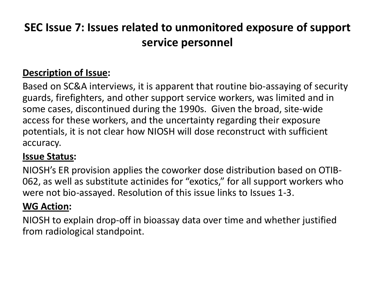# **SEC Issue 7: Issues related to unmonitored exposure of support service personnel**

### **Description of Issue:**

Based on SC&A interviews, it is apparent that routine bio-assaying of security guards, firefighters, and other support service workers, was limited and in some cases, discontinued during the 1990s. Given the broad, site-wide access for these workers, and the uncertainty regarding their exposure potentials, it is not clear how NIOSH will dose reconstruct with sufficient accuracy.

### **Issue Status:**

NIOSH's ER provision applies the coworker dose distribution based on OTIB-062, as well as substitute actinides for "exotics," for all support workers who were not bio-assayed. Resolution of this issue links to Issues 1-3.

### **WG Action:**

NIOSH to explain drop-off in bioassay data over time and whether justified from radiological standpoint.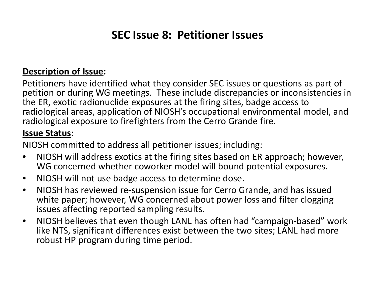# **SEC Issue 8: Petitioner Issues**

#### **Description of Issue:**

Petitioners have identified what they consider SEC issues or questions as part of petition or during WG meetings. These include discrepancies or inconsistencies in the ER, exotic radionuclide exposures at the firing sites, badge access to radiological areas, application of NIOSH's occupational environmental model, and radiological exposure to firefighters from the Cerro Grande fire.

#### **Issue Status:**

NIOSH committed to address all petitioner issues; including:

- NIOSH will address exotics at the firing sites based on ER approach; however, WG concerned whether coworker model will bound potential exposures.
- NIOSH will not use badge access to determine dose.
- NIOSH has reviewed re-suspension issue for Cerro Grande, and has issued white paper; however, WG concerned about power loss and filter clogging issues affecting reported sampling results.
- NIOSH believes that even though LANL has often had "campaign-based" work like NTS, significant differences exist between the two sites; LANL had more robust HP program during time period.